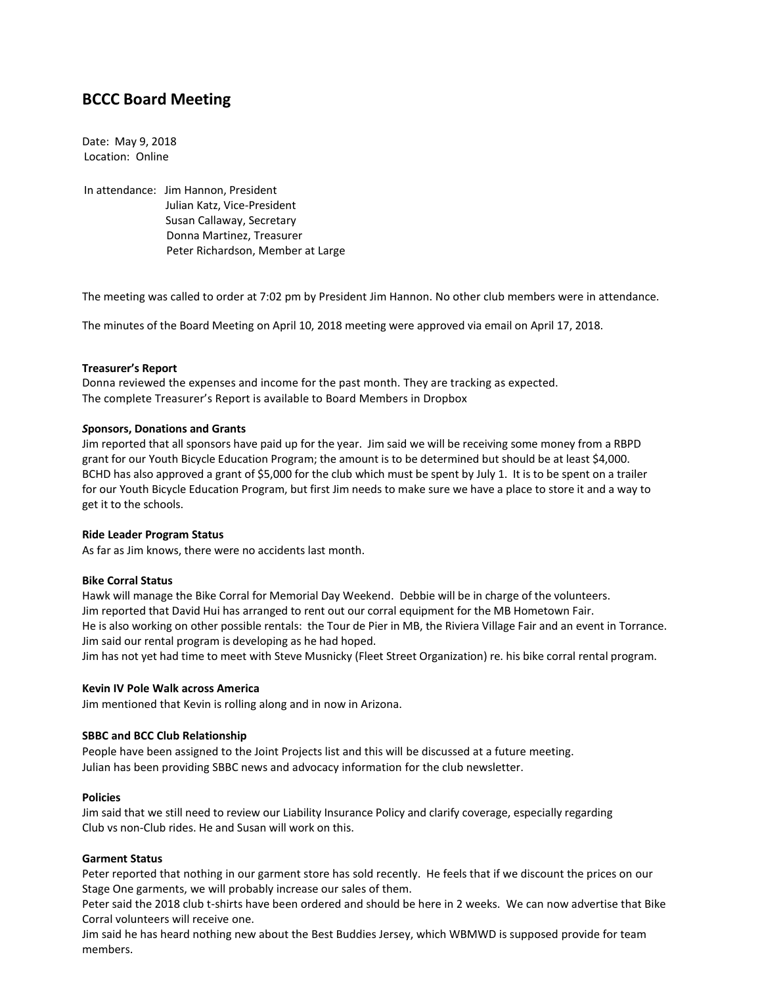# **BCCC Board Meeting**

Date: May 9, 2018 Location: Online

In attendance: Jim Hannon, President Julian Katz, Vice-President Susan Callaway, Secretary Donna Martinez, Treasurer Peter Richardson, Member at Large

The meeting was called to order at 7:02 pm by President Jim Hannon. No other club members were in attendance.

The minutes of the Board Meeting on April 10, 2018 meeting were approved via email on April 17, 2018.

# **Treasurer's Report**

Donna reviewed the expenses and income for the past month. They are tracking as expected. The complete Treasurer's Report is available to Board Members in Dropbox

# *S***ponsors, Donations and Grants**

Jim reported that all sponsors have paid up for the year. Jim said we will be receiving some money from a RBPD grant for our Youth Bicycle Education Program; the amount is to be determined but should be at least \$4,000. BCHD has also approved a grant of \$5,000 for the club which must be spent by July 1. It is to be spent on a trailer for our Youth Bicycle Education Program, but first Jim needs to make sure we have a place to store it and a way to get it to the schools.

#### **Ride Leader Program Status**

As far as Jim knows, there were no accidents last month.

#### **Bike Corral Status**

Hawk will manage the Bike Corral for Memorial Day Weekend. Debbie will be in charge of the volunteers. Jim reported that David Hui has arranged to rent out our corral equipment for the MB Hometown Fair. He is also working on other possible rentals: the Tour de Pier in MB, the Riviera Village Fair and an event in Torrance. Jim said our rental program is developing as he had hoped. Jim has not yet had time to meet with Steve Musnicky (Fleet Street Organization) re. his bike corral rental program.

#### **Kevin IV Pole Walk across America**

Jim mentioned that Kevin is rolling along and in now in Arizona.

#### **SBBC and BCC Club Relationship**

People have been assigned to the Joint Projects list and this will be discussed at a future meeting. Julian has been providing SBBC news and advocacy information for the club newsletter.

#### **Policies**

Jim said that we still need to review our Liability Insurance Policy and clarify coverage, especially regarding Club vs non-Club rides. He and Susan will work on this.

#### **Garment Status**

Peter reported that nothing in our garment store has sold recently. He feels that if we discount the prices on our Stage One garments, we will probably increase our sales of them.

Peter said the 2018 club t-shirts have been ordered and should be here in 2 weeks. We can now advertise that Bike Corral volunteers will receive one.

Jim said he has heard nothing new about the Best Buddies Jersey, which WBMWD is supposed provide for team members.